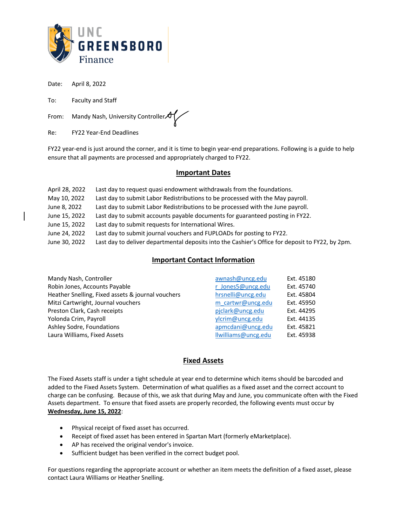

Date: April 8, 2022

To: Faculty and Staff

From: Mandy Nash, University Controller

Re: FY22 Year-End Deadlines

FY22 year-end is just around the corner, and it is time to begin year-end preparations. Following is a guide to help ensure that all payments are processed and appropriately charged to FY22.

#### **Important Dates**

| April 28, 2022 | Last day to request quasi endowment withdrawals from the foundations.                            |
|----------------|--------------------------------------------------------------------------------------------------|
| May 10, 2022   | Last day to submit Labor Redistributions to be processed with the May payroll.                   |
| June 8, 2022   | Last day to submit Labor Redistributions to be processed with the June payroll.                  |
| June 15, 2022  | Last day to submit accounts payable documents for guaranteed posting in FY22.                    |
| June 15, 2022  | Last day to submit requests for International Wires.                                             |
| June 24, 2022  | Last day to submit journal vouchers and FUPLOADs for posting to FY22.                            |
| June 30, 2022  | Last day to deliver departmental deposits into the Cashier's Office for deposit to FY22, by 2pm. |
|                |                                                                                                  |

## **Important Contact Information**

| Mandy Nash, Controller                            | awnash@uncg.edu     | Ext. 45180 |
|---------------------------------------------------|---------------------|------------|
| Robin Jones, Accounts Payable                     | r Jones5@uncg.edu   | Ext. 45740 |
| Heather Snelling, Fixed assets & journal vouchers | hrsnelli@uncg.edu   | Ext. 45804 |
| Mitzi Cartwright, Journal vouchers                | m cartwr@uncg.edu   | Ext. 45950 |
| Preston Clark, Cash receipts                      | piclark@uncg.edu    | Ext. 44295 |
| Yolonda Crim, Payroll                             | ylcrim@uncg.edu     | Ext. 44135 |
| Ashley Sodre, Foundations                         | apmcdani@uncg.edu   | Ext. 45821 |
| Laura Williams, Fixed Assets                      | Ilwilliams@uncg.edu | Ext. 45938 |

# **Fixed Assets**

The Fixed Assets staff is under a tight schedule at year end to determine which items should be barcoded and added to the Fixed Assets System. Determination of what qualifies as a fixed asset and the correct account to charge can be confusing. Because of this, we ask that during May and June, you communicate often with the Fixed Assets department. To ensure that fixed assets are properly recorded, the following events must occur by **Wednesday, June 15, 2022**:

- Physical receipt of fixed asset has occurred.
- Receipt of fixed asset has been entered in Spartan Mart (formerly eMarketplace).
- AP has received the original vendor's invoice.
- Sufficient budget has been verified in the correct budget pool.

For questions regarding the appropriate account or whether an item meets the definition of a fixed asset, please contact Laura Williams or Heather Snelling.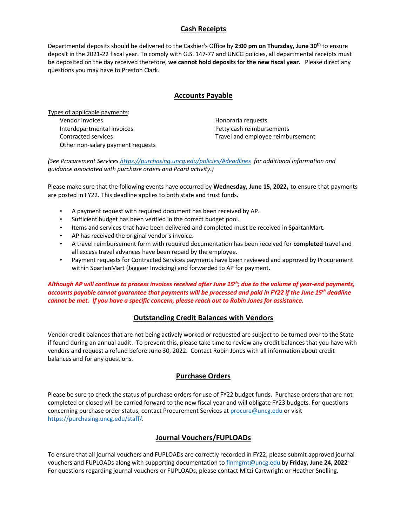# **Cash Receipts**

Departmental deposits should be delivered to the Cashier's Office by **2:00 pm on Thursday, June 30th** to ensure deposit in the 2021-22 fiscal year. To comply with G.S. 147-77 and UNCG policies, all departmental receipts must be deposited on the day received therefore, **we cannot hold deposits for the new fiscal year.** Please direct any questions you may have to Preston Clark.

### **Accounts Payable**

Types of applicable payments: Vendor invoices and the extent of the Honoraria requests Interdepartmental invoices Petty cash reimbursements Other non-salary payment requests

Contracted services Travel and employee reimbursement

*(See Procurement Services https://purchasing.uncg.edu/policies/#deadlines for additional information and guidance associated with purchase orders and Pcard activity.)*

Please make sure that the following events have occurred by **Wednesday, June 15, 2022,** to ensure that payments are posted in FY22. This deadline applies to both state and trust funds.

- A payment request with required document has been received by AP.
- Sufficient budget has been verified in the correct budget pool.
- Items and services that have been delivered and completed must be received in SpartanMart.
- AP has received the original vendor's invoice.
- A travel reimbursement form with required documentation has been received for **completed** travel and all excess travel advances have been repaid by the employee.
- Payment requests for Contracted Services payments have been reviewed and approved by Procurement within SpartanMart (Jaggaer Invoicing) and forwarded to AP for payment.

*Although AP will continue to process invoices received after June 15th; due to the volume of year-end payments, accounts payable cannot guarantee that payments will be processed and paid in FY22 if the June 15th deadline cannot be met. If you have a specific concern, please reach out to Robin Jones for assistance.*

### **Outstanding Credit Balances with Vendors**

Vendor credit balances that are not being actively worked or requested are subject to be turned over to the State if found during an annual audit. To prevent this, please take time to review any credit balances that you have with vendors and request a refund before June 30, 2022. Contact Robin Jones with all information about credit balances and for any questions.

### **Purchase Orders**

Please be sure to check the status of purchase orders for use of FY22 budget funds. Purchase orders that are not completed or closed will be carried forward to the new fiscal year and will obligate FY23 budgets. For questions concerning purchase order status, contact Procurement Services at procure@uncg.edu or visit https://purchasing.uncg.edu/staff/.

### **Journal Vouchers/FUPLOADs**

To ensure that all journal vouchers and FUPLOADs are correctly recorded in FY22, please submit approved journal vouchers and FUPLOADs along with supporting documentation to finmgmt@uncg.edu by **Friday, June 24, 2022.** For questions regarding journal vouchers or FUPLOADs, please contact Mitzi Cartwright or Heather Snelling.